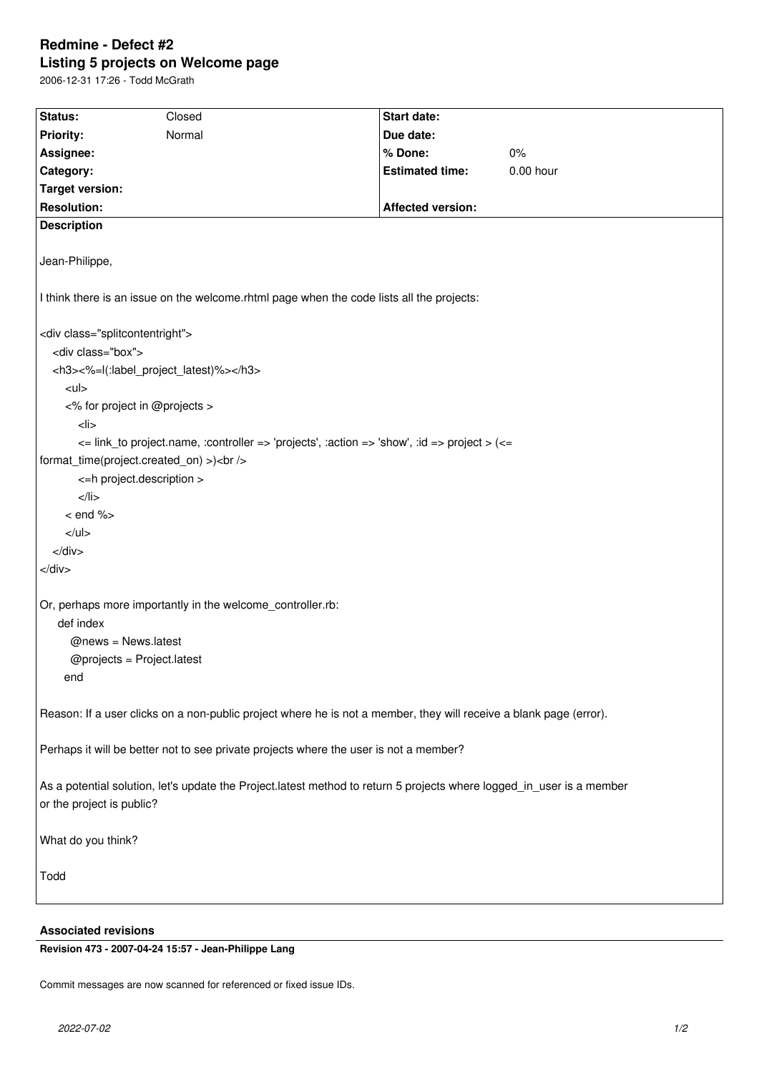# **Redmine - Defect #2 Listing 5 projects on Welcome page**

2006-12-31 17:26 - Todd McGrath

| Status:                                                                                                                                            | Closed | <b>Start date:</b>       |           |
|----------------------------------------------------------------------------------------------------------------------------------------------------|--------|--------------------------|-----------|
| <b>Priority:</b>                                                                                                                                   | Normal | Due date:                |           |
| Assignee:                                                                                                                                          |        | % Done:                  | 0%        |
| Category:                                                                                                                                          |        | <b>Estimated time:</b>   | 0.00 hour |
| <b>Target version:</b>                                                                                                                             |        |                          |           |
| <b>Resolution:</b>                                                                                                                                 |        | <b>Affected version:</b> |           |
| <b>Description</b>                                                                                                                                 |        |                          |           |
|                                                                                                                                                    |        |                          |           |
| Jean-Philippe,                                                                                                                                     |        |                          |           |
| I think there is an issue on the welcome.rhtml page when the code lists all the projects:                                                          |        |                          |           |
| <div class="splitcontentright"></div>                                                                                                              |        |                          |           |
| <div class="box"></div>                                                                                                                            |        |                          |           |
| <h3>&lt;%=l(:label_project_latest)%&gt;</h3>                                                                                                       |        |                          |           |
| $<$ ul>                                                                                                                                            |        |                          |           |
| <% for project in @projects >                                                                                                                      |        |                          |           |
| $<$ li $>$                                                                                                                                         |        |                          |           |
| $\epsilon$ = link to project.name, :controller => 'projects', :action => 'show', :id => project > ( $\epsilon$ =                                   |        |                          |           |
| format_time(project.created_on) >)<br>                                                                                                             |        |                          |           |
| <= h project.description >                                                                                                                         |        |                          |           |
| $<$ /li>                                                                                                                                           |        |                          |           |
| $<$ end % $>$                                                                                                                                      |        |                          |           |
| $<$ /ul>                                                                                                                                           |        |                          |           |
| $\langle$ div $>$                                                                                                                                  |        |                          |           |
| $<$ /div $>$                                                                                                                                       |        |                          |           |
|                                                                                                                                                    |        |                          |           |
| Or, perhaps more importantly in the welcome_controller.rb:                                                                                         |        |                          |           |
| def index                                                                                                                                          |        |                          |           |
| $@news = News latest$                                                                                                                              |        |                          |           |
| $@$ projects = Project.latest                                                                                                                      |        |                          |           |
| end                                                                                                                                                |        |                          |           |
|                                                                                                                                                    |        |                          |           |
| Reason: If a user clicks on a non-public project where he is not a member, they will receive a blank page (error).                                 |        |                          |           |
| Perhaps it will be better not to see private projects where the user is not a member?                                                              |        |                          |           |
| As a potential solution, let's update the Project.latest method to return 5 projects where logged_in_user is a member<br>or the project is public? |        |                          |           |
| What do you think?                                                                                                                                 |        |                          |           |
| Todd                                                                                                                                               |        |                          |           |
|                                                                                                                                                    |        |                          |           |

## **Associated revisions**

**Revision 473 - 2007-04-24 15:57 - Jean-Philippe Lang**

Commit messages are now scanned for referenced or fixed issue IDs.